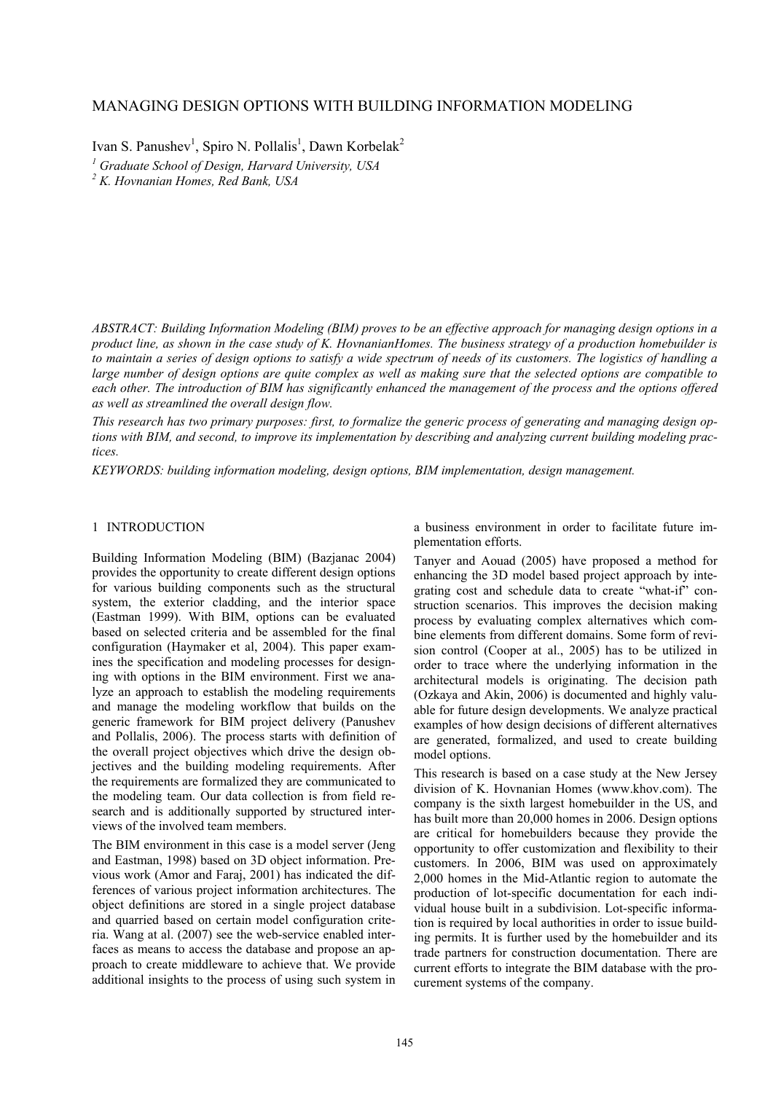# MANAGING DESIGN OPTIONS WITH BUILDING INFORMATION MODELING

Ivan S. Panushev<sup>1</sup>, Spiro N. Pollalis<sup>1</sup>, Dawn Korbelak<sup>2</sup>

*1 Graduate School of Design, Harvard University, USA* 

*2 K. Hovnanian Homes, Red Bank, USA* 

*ABSTRACT: Building Information Modeling (BIM) proves to be an effective approach for managing design options in a product line, as shown in the case study of K. HovnanianHomes. The business strategy of a production homebuilder is to maintain a series of design options to satisfy a wide spectrum of needs of its customers. The logistics of handling a large number of design options are quite complex as well as making sure that the selected options are compatible to each other. The introduction of BIM has significantly enhanced the management of the process and the options offered as well as streamlined the overall design flow.* 

*This research has two primary purposes: first, to formalize the generic process of generating and managing design options with BIM, and second, to improve its implementation by describing and analyzing current building modeling practices.* 

*KEYWORDS: building information modeling, design options, BIM implementation, design management.* 

### 1 INTRODUCTION

Building Information Modeling (BIM) (Bazjanac 2004) provides the opportunity to create different design options for various building components such as the structural system, the exterior cladding, and the interior space (Eastman 1999). With BIM, options can be evaluated based on selected criteria and be assembled for the final configuration (Haymaker et al, 2004). This paper examines the specification and modeling processes for designing with options in the BIM environment. First we analyze an approach to establish the modeling requirements and manage the modeling workflow that builds on the generic framework for BIM project delivery (Panushev and Pollalis, 2006). The process starts with definition of the overall project objectives which drive the design objectives and the building modeling requirements. After the requirements are formalized they are communicated to the modeling team. Our data collection is from field research and is additionally supported by structured interviews of the involved team members.

The BIM environment in this case is a model server (Jeng and Eastman, 1998) based on 3D object information. Previous work (Amor and Faraj, 2001) has indicated the differences of various project information architectures. The object definitions are stored in a single project database and quarried based on certain model configuration criteria. Wang at al. (2007) see the web-service enabled interfaces as means to access the database and propose an approach to create middleware to achieve that. We provide additional insights to the process of using such system in a business environment in order to facilitate future implementation efforts.

Tanyer and Aouad (2005) have proposed a method for enhancing the 3D model based project approach by integrating cost and schedule data to create "what-if" construction scenarios. This improves the decision making process by evaluating complex alternatives which combine elements from different domains. Some form of revision control (Cooper at al., 2005) has to be utilized in order to trace where the underlying information in the architectural models is originating. The decision path (Ozkaya and Akin, 2006) is documented and highly valuable for future design developments. We analyze practical examples of how design decisions of different alternatives are generated, formalized, and used to create building model options.

This research is based on a case study at the New Jersey division of K. Hovnanian Homes (www.khov.com). The company is the sixth largest homebuilder in the US, and has built more than 20,000 homes in 2006. Design options are critical for homebuilders because they provide the opportunity to offer customization and flexibility to their customers. In 2006, BIM was used on approximately 2,000 homes in the Mid-Atlantic region to automate the production of lot-specific documentation for each individual house built in a subdivision. Lot-specific information is required by local authorities in order to issue building permits. It is further used by the homebuilder and its trade partners for construction documentation. There are current efforts to integrate the BIM database with the procurement systems of the company.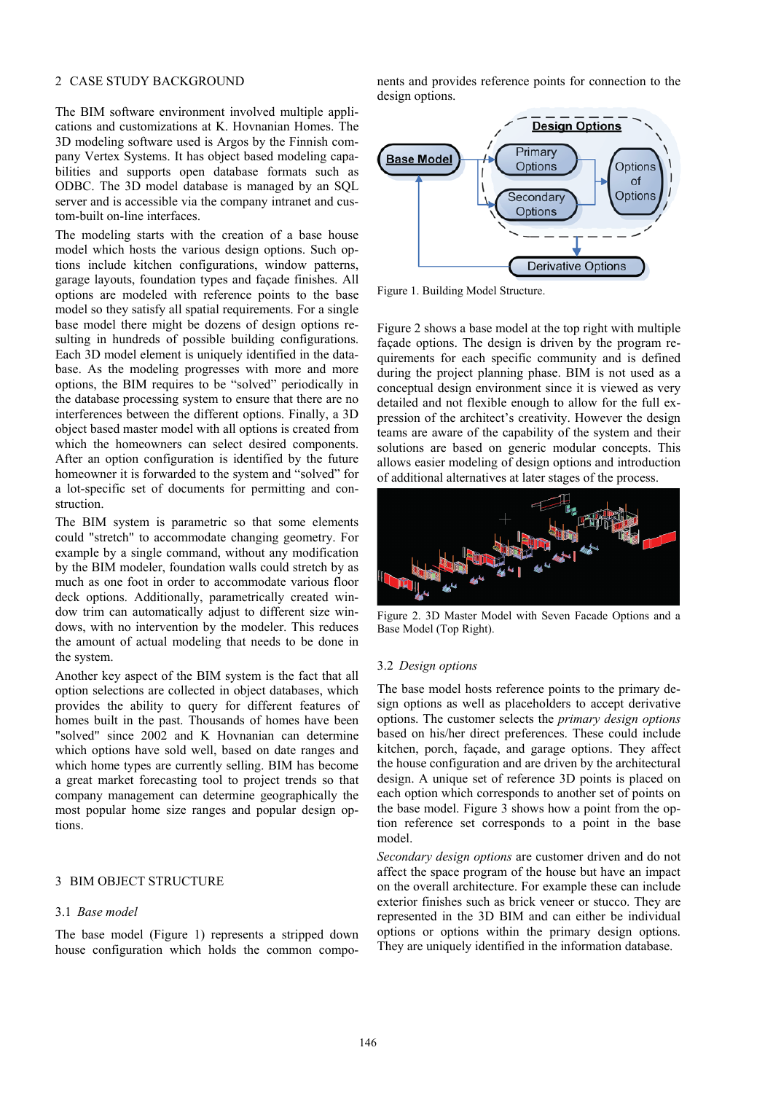# 2 CASE STUDY BACKGROUND

The BIM software environment involved multiple applications and customizations at K. Hovnanian Homes. The 3D modeling software used is Argos by the Finnish company Vertex Systems. It has object based modeling capabilities and supports open database formats such as ODBC. The 3D model database is managed by an SQL server and is accessible via the company intranet and custom-built on-line interfaces.

The modeling starts with the creation of a base house model which hosts the various design options. Such options include kitchen configurations, window patterns, garage layouts, foundation types and façade finishes. All options are modeled with reference points to the base model so they satisfy all spatial requirements. For a single base model there might be dozens of design options resulting in hundreds of possible building configurations. Each 3D model element is uniquely identified in the database. As the modeling progresses with more and more options, the BIM requires to be "solved" periodically in the database processing system to ensure that there are no interferences between the different options. Finally, a 3D object based master model with all options is created from which the homeowners can select desired components. After an option configuration is identified by the future homeowner it is forwarded to the system and "solved" for a lot-specific set of documents for permitting and construction.

The BIM system is parametric so that some elements could "stretch" to accommodate changing geometry. For example by a single command, without any modification by the BIM modeler, foundation walls could stretch by as much as one foot in order to accommodate various floor deck options. Additionally, parametrically created window trim can automatically adjust to different size windows, with no intervention by the modeler. This reduces the amount of actual modeling that needs to be done in the system.

Another key aspect of the BIM system is the fact that all option selections are collected in object databases, which provides the ability to query for different features of homes built in the past. Thousands of homes have been "solved" since 2002 and K Hovnanian can determine which options have sold well, based on date ranges and which home types are currently selling. BIM has become a great market forecasting tool to project trends so that company management can determine geographically the most popular home size ranges and popular design options.

#### 3 BIM OBJECT STRUCTURE

## 3.1 *Base model*

The base model (Figure 1) represents a stripped down house configuration which holds the common components and provides reference points for connection to the design options.



Figure 1. Building Model Structure.

Figure 2 shows a base model at the top right with multiple façade options. The design is driven by the program requirements for each specific community and is defined during the project planning phase. BIM is not used as a conceptual design environment since it is viewed as very detailed and not flexible enough to allow for the full expression of the architect's creativity. However the design teams are aware of the capability of the system and their solutions are based on generic modular concepts. This allows easier modeling of design options and introduction of additional alternatives at later stages of the process.



Figure 2. 3D Master Model with Seven Facade Options and a Base Model (Top Right).

#### 3.2 *Design options*

The base model hosts reference points to the primary design options as well as placeholders to accept derivative options. The customer selects the *primary design options*  based on his/her direct preferences. These could include kitchen, porch, façade, and garage options. They affect the house configuration and are driven by the architectural design. A unique set of reference 3D points is placed on each option which corresponds to another set of points on the base model. Figure 3 shows how a point from the option reference set corresponds to a point in the base model.

*Secondary design options* are customer driven and do not affect the space program of the house but have an impact on the overall architecture. For example these can include exterior finishes such as brick veneer or stucco. They are represented in the 3D BIM and can either be individual options or options within the primary design options. They are uniquely identified in the information database.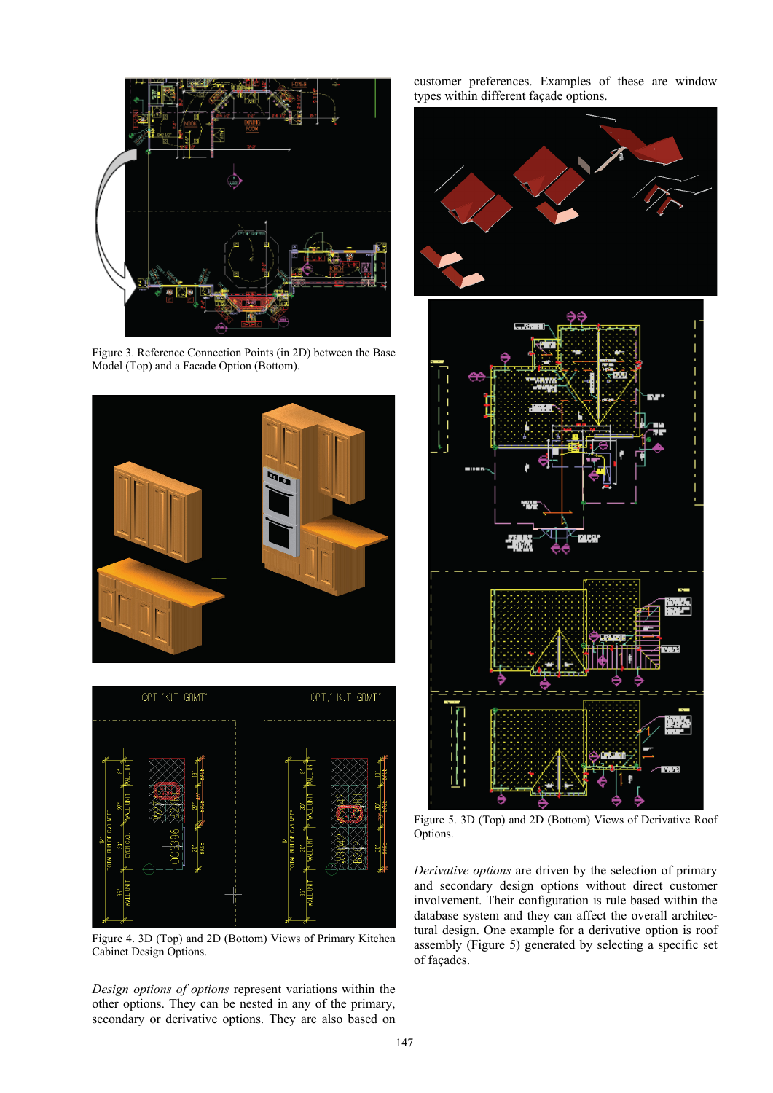

Figure 3. Reference Connection Points (in 2D) between the Base Model (Top) and a Facade Option (Bottom).





Figure 4. 3D (Top) and 2D (Bottom) Views of Primary Kitchen Cabinet Design Options.

*Design options of options* represent variations within the other options. They can be nested in any of the primary, secondary or derivative options. They are also based on customer preferences. Examples of these are window types within different façade options.



Figure 5. 3D (Top) and 2D (Bottom) Views of Derivative Roof Options.

*Derivative options* are driven by the selection of primary and secondary design options without direct customer involvement. Their configuration is rule based within the database system and they can affect the overall architectural design. One example for a derivative option is roof assembly (Figure 5) generated by selecting a specific set of façades.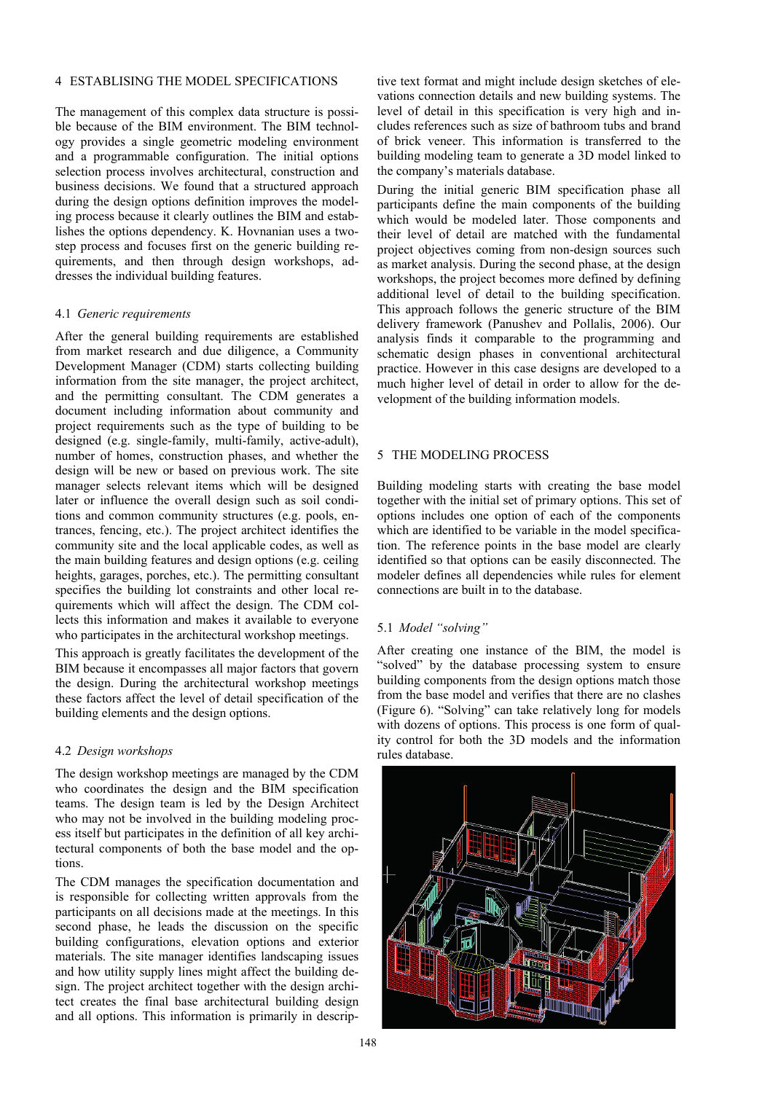# 4 ESTABLISING THE MODEL SPECIFICATIONS

The management of this complex data structure is possible because of the BIM environment. The BIM technology provides a single geometric modeling environment and a programmable configuration. The initial options selection process involves architectural, construction and business decisions. We found that a structured approach during the design options definition improves the modeling process because it clearly outlines the BIM and establishes the options dependency. K. Hovnanian uses a twostep process and focuses first on the generic building requirements, and then through design workshops, addresses the individual building features.

## 4.1 *Generic requirements*

After the general building requirements are established from market research and due diligence, a Community Development Manager (CDM) starts collecting building information from the site manager, the project architect, and the permitting consultant. The CDM generates a document including information about community and project requirements such as the type of building to be designed (e.g. single-family, multi-family, active-adult), number of homes, construction phases, and whether the design will be new or based on previous work. The site manager selects relevant items which will be designed later or influence the overall design such as soil conditions and common community structures (e.g. pools, entrances, fencing, etc.). The project architect identifies the community site and the local applicable codes, as well as the main building features and design options (e.g. ceiling heights, garages, porches, etc.). The permitting consultant specifies the building lot constraints and other local requirements which will affect the design. The CDM collects this information and makes it available to everyone who participates in the architectural workshop meetings.

This approach is greatly facilitates the development of the BIM because it encompasses all major factors that govern the design. During the architectural workshop meetings these factors affect the level of detail specification of the building elements and the design options.

# 4.2 *Design workshops*

The design workshop meetings are managed by the CDM who coordinates the design and the BIM specification teams. The design team is led by the Design Architect who may not be involved in the building modeling process itself but participates in the definition of all key architectural components of both the base model and the options.

The CDM manages the specification documentation and is responsible for collecting written approvals from the participants on all decisions made at the meetings. In this second phase, he leads the discussion on the specific building configurations, elevation options and exterior materials. The site manager identifies landscaping issues and how utility supply lines might affect the building design. The project architect together with the design architect creates the final base architectural building design and all options. This information is primarily in descriptive text format and might include design sketches of elevations connection details and new building systems. The level of detail in this specification is very high and includes references such as size of bathroom tubs and brand of brick veneer. This information is transferred to the building modeling team to generate a 3D model linked to the company's materials database.

During the initial generic BIM specification phase all participants define the main components of the building which would be modeled later. Those components and their level of detail are matched with the fundamental project objectives coming from non-design sources such as market analysis. During the second phase, at the design workshops, the project becomes more defined by defining additional level of detail to the building specification. This approach follows the generic structure of the BIM delivery framework (Panushev and Pollalis, 2006). Our analysis finds it comparable to the programming and schematic design phases in conventional architectural practice. However in this case designs are developed to a much higher level of detail in order to allow for the development of the building information models.

## 5 THE MODELING PROCESS

Building modeling starts with creating the base model together with the initial set of primary options. This set of options includes one option of each of the components which are identified to be variable in the model specification. The reference points in the base model are clearly identified so that options can be easily disconnected. The modeler defines all dependencies while rules for element connections are built in to the database.

# 5.1 *Model "solving"*

After creating one instance of the BIM, the model is "solved" by the database processing system to ensure building components from the design options match those from the base model and verifies that there are no clashes (Figure 6). "Solving" can take relatively long for models with dozens of options. This process is one form of quality control for both the 3D models and the information rules database.

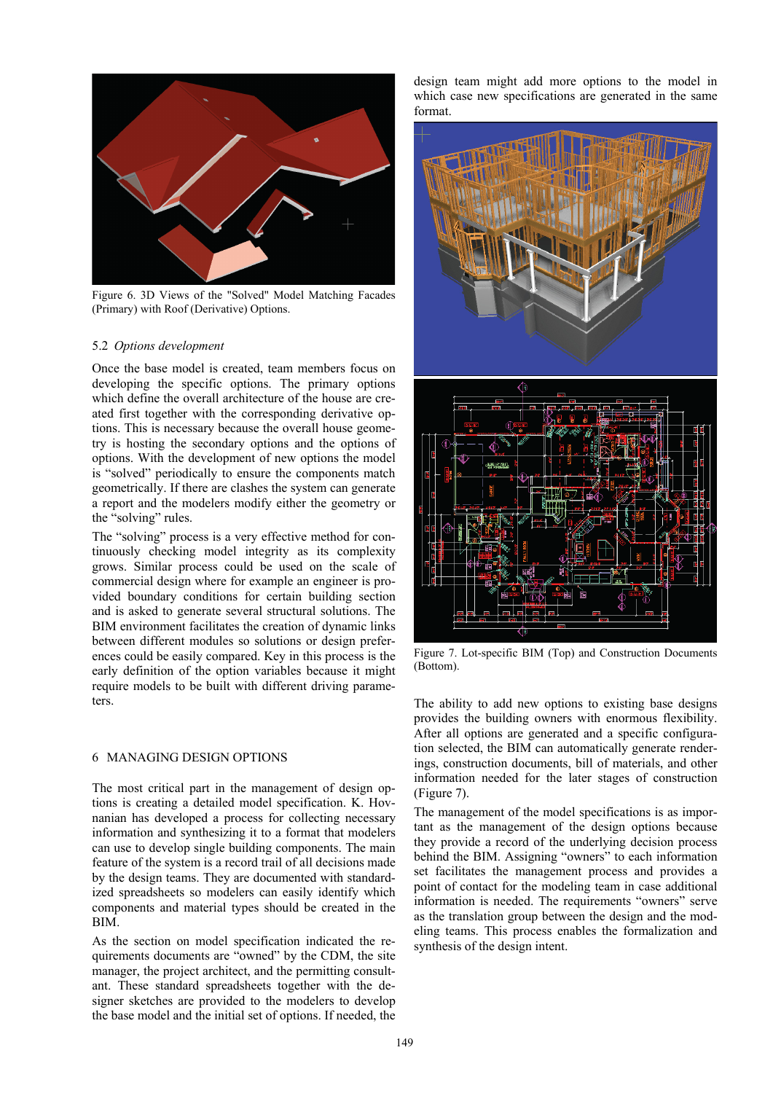

Figure 6. 3D Views of the "Solved" Model Matching Facades (Primary) with Roof (Derivative) Options.

### 5.2 *Options development*

Once the base model is created, team members focus on developing the specific options. The primary options which define the overall architecture of the house are created first together with the corresponding derivative options. This is necessary because the overall house geometry is hosting the secondary options and the options of options. With the development of new options the model is "solved" periodically to ensure the components match geometrically. If there are clashes the system can generate a report and the modelers modify either the geometry or the "solving" rules.

The "solving" process is a very effective method for continuously checking model integrity as its complexity grows. Similar process could be used on the scale of commercial design where for example an engineer is provided boundary conditions for certain building section and is asked to generate several structural solutions. The BIM environment facilitates the creation of dynamic links between different modules so solutions or design preferences could be easily compared. Key in this process is the early definition of the option variables because it might require models to be built with different driving parameters.

## 6 MANAGING DESIGN OPTIONS

The most critical part in the management of design options is creating a detailed model specification. K. Hovnanian has developed a process for collecting necessary information and synthesizing it to a format that modelers can use to develop single building components. The main feature of the system is a record trail of all decisions made by the design teams. They are documented with standardized spreadsheets so modelers can easily identify which components and material types should be created in the BIM.

As the section on model specification indicated the requirements documents are "owned" by the CDM, the site manager, the project architect, and the permitting consultant. These standard spreadsheets together with the designer sketches are provided to the modelers to develop the base model and the initial set of options. If needed, the design team might add more options to the model in which case new specifications are generated in the same format.



Figure 7. Lot-specific BIM (Top) and Construction Documents (Bottom).

The ability to add new options to existing base designs provides the building owners with enormous flexibility. After all options are generated and a specific configuration selected, the BIM can automatically generate renderings, construction documents, bill of materials, and other information needed for the later stages of construction (Figure 7).

The management of the model specifications is as important as the management of the design options because they provide a record of the underlying decision process behind the BIM. Assigning "owners" to each information set facilitates the management process and provides a point of contact for the modeling team in case additional information is needed. The requirements "owners" serve as the translation group between the design and the modeling teams. This process enables the formalization and synthesis of the design intent.